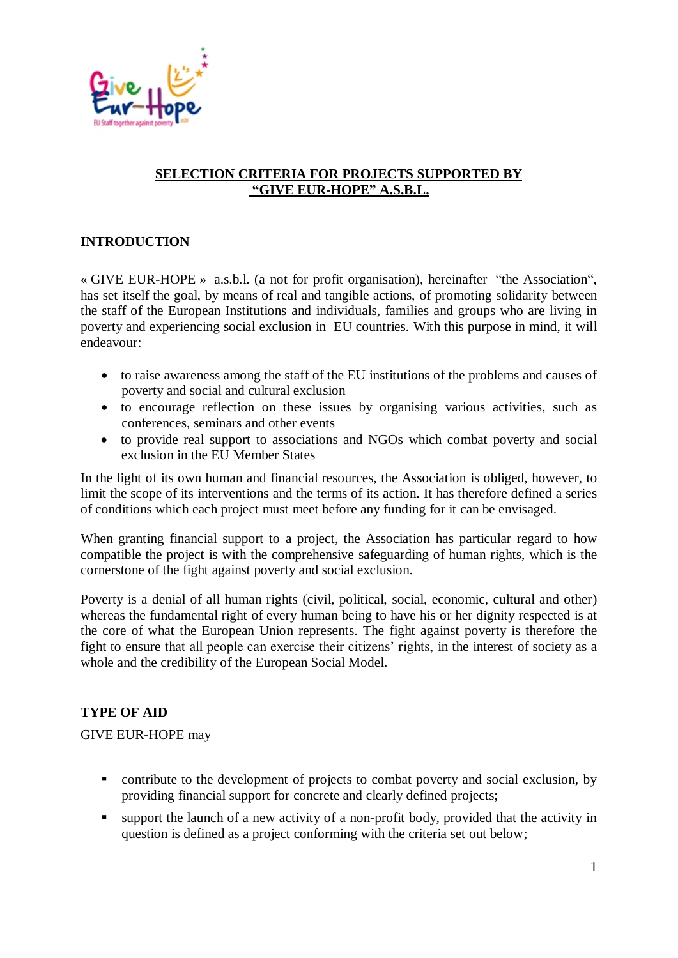

## **SELECTION CRITERIA FOR PROJECTS SUPPORTED BY "GIVE EUR-HOPE" A.S.B.L.**

## **INTRODUCTION**

« GIVE EUR-HOPE » a.s.b.l. (a not for profit organisation), hereinafter "the Association", has set itself the goal, by means of real and tangible actions, of promoting solidarity between the staff of the European Institutions and individuals, families and groups who are living in poverty and experiencing social exclusion in EU countries. With this purpose in mind, it will endeavour:

- to raise awareness among the staff of the EU institutions of the problems and causes of poverty and social and cultural exclusion
- to encourage reflection on these issues by organising various activities, such as conferences, seminars and other events
- to provide real support to associations and NGOs which combat poverty and social exclusion in the EU Member States

In the light of its own human and financial resources, the Association is obliged, however, to limit the scope of its interventions and the terms of its action. It has therefore defined a series of conditions which each project must meet before any funding for it can be envisaged.

When granting financial support to a project, the Association has particular regard to how compatible the project is with the comprehensive safeguarding of human rights, which is the cornerstone of the fight against poverty and social exclusion.

Poverty is a denial of all human rights (civil, political, social, economic, cultural and other) whereas the fundamental right of every human being to have his or her dignity respected is at the core of what the European Union represents. The fight against poverty is therefore the fight to ensure that all people can exercise their citizens' rights, in the interest of society as a whole and the credibility of the European Social Model.

#### **TYPE OF AID**

GIVE EUR-HOPE may

- contribute to the development of projects to combat poverty and social exclusion, by providing financial support for concrete and clearly defined projects;
- support the launch of a new activity of a non-profit body, provided that the activity in question is defined as a project conforming with the criteria set out below;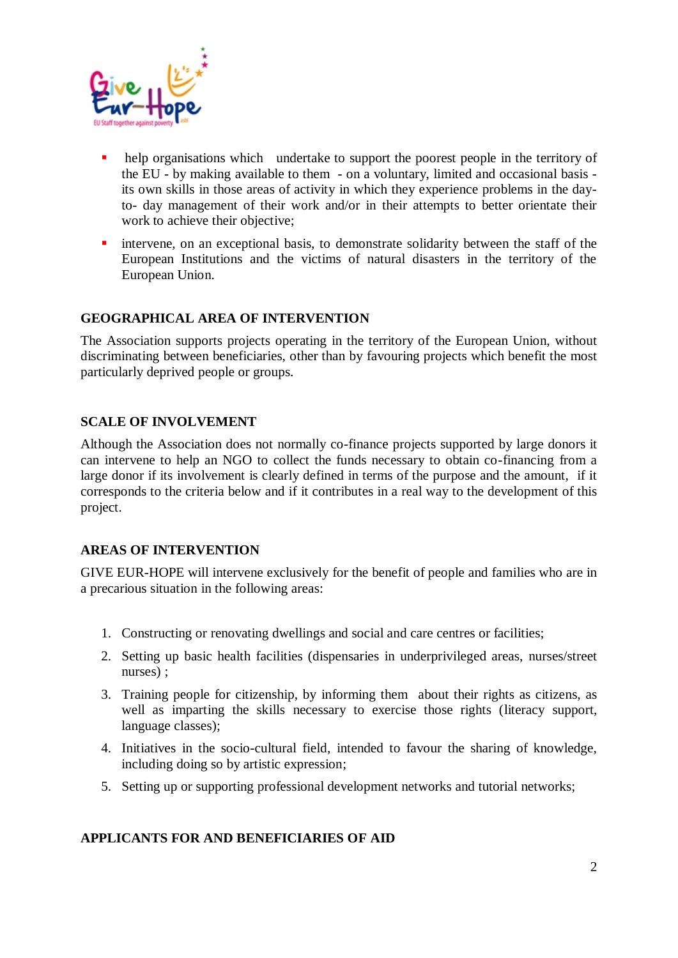

- help organisations which undertake to support the poorest people in the territory of the EU - by making available to them - on a voluntary, limited and occasional basis its own skills in those areas of activity in which they experience problems in the dayto- day management of their work and/or in their attempts to better orientate their work to achieve their objective;
- **intervene, on an exceptional basis, to demonstrate solidarity between the staff of the** European Institutions and the victims of natural disasters in the territory of the European Union.

#### **GEOGRAPHICAL AREA OF INTERVENTION**

The Association supports projects operating in the territory of the European Union, without discriminating between beneficiaries, other than by favouring projects which benefit the most particularly deprived people or groups.

## **SCALE OF INVOLVEMENT**

Although the Association does not normally co-finance projects supported by large donors it can intervene to help an NGO to collect the funds necessary to obtain co-financing from a large donor if its involvement is clearly defined in terms of the purpose and the amount, if it corresponds to the criteria below and if it contributes in a real way to the development of this project.

#### **AREAS OF INTERVENTION**

GIVE EUR-HOPE will intervene exclusively for the benefit of people and families who are in a precarious situation in the following areas:

- 1. Constructing or renovating dwellings and social and care centres or facilities;
- 2. Setting up basic health facilities (dispensaries in underprivileged areas, nurses/street nurses) ;
- 3. Training people for citizenship, by informing them about their rights as citizens, as well as imparting the skills necessary to exercise those rights (literacy support, language classes);
- 4. Initiatives in the socio-cultural field, intended to favour the sharing of knowledge, including doing so by artistic expression;
- 5. Setting up or supporting professional development networks and tutorial networks;

#### **APPLICANTS FOR AND BENEFICIARIES OF AID**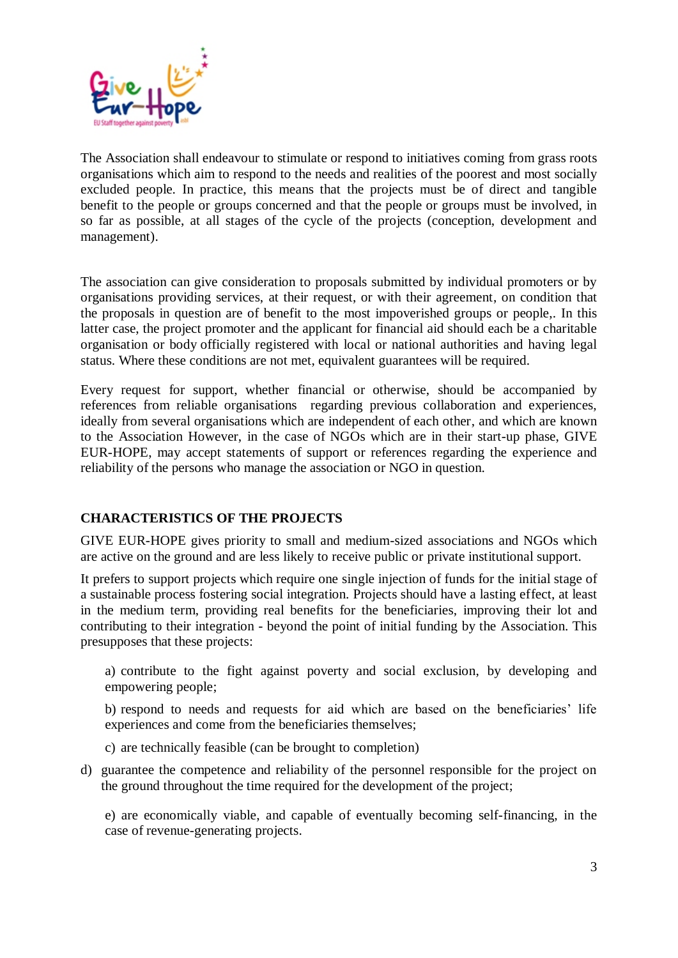

The Association shall endeavour to stimulate or respond to initiatives coming from grass roots organisations which aim to respond to the needs and realities of the poorest and most socially excluded people. In practice, this means that the projects must be of direct and tangible benefit to the people or groups concerned and that the people or groups must be involved, in so far as possible, at all stages of the cycle of the projects (conception, development and management).

The association can give consideration to proposals submitted by individual promoters or by organisations providing services, at their request, or with their agreement, on condition that the proposals in question are of benefit to the most impoverished groups or people,. In this latter case, the project promoter and the applicant for financial aid should each be a charitable organisation or body officially registered with local or national authorities and having legal status. Where these conditions are not met, equivalent guarantees will be required.

Every request for support, whether financial or otherwise, should be accompanied by references from reliable organisations regarding previous collaboration and experiences, ideally from several organisations which are independent of each other, and which are known to the Association However, in the case of NGOs which are in their start-up phase, GIVE EUR-HOPE, may accept statements of support or references regarding the experience and reliability of the persons who manage the association or NGO in question.

#### **CHARACTERISTICS OF THE PROJECTS**

GIVE EUR-HOPE gives priority to small and medium-sized associations and NGOs which are active on the ground and are less likely to receive public or private institutional support.

It prefers to support projects which require one single injection of funds for the initial stage of a sustainable process fostering social integration. Projects should have a lasting effect, at least in the medium term, providing real benefits for the beneficiaries, improving their lot and contributing to their integration - beyond the point of initial funding by the Association. This presupposes that these projects:

a) contribute to the fight against poverty and social exclusion, by developing and empowering people;

b) respond to needs and requests for aid which are based on the beneficiaries' life experiences and come from the beneficiaries themselves;

- c) are technically feasible (can be brought to completion)
- d) guarantee the competence and reliability of the personnel responsible for the project on the ground throughout the time required for the development of the project;

e) are economically viable, and capable of eventually becoming self-financing, in the case of revenue-generating projects.